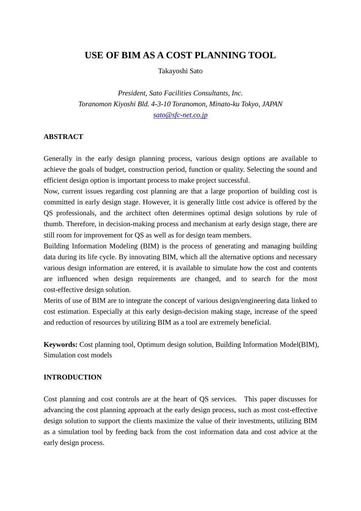# **USE OF BIM AS A COST PLANNING TOOL**

Takayoshi Sato

*President, Sato Facilities Consultants, Inc. Toranomon Kiyoshi Bld. 4-3-10 Toranomon, Minato-ku Tokyo, JAPAN [sato@sfc-net.co.jp](mailto:sato@sfc-net.co.jp)*

## **ABSTRACT**

Generally in the early design planning process, various design options are available to achieve the goals of budget, construction period, function or quality. Selecting the sound and efficient design option is important process to make project successful.

Now, current issues regarding cost planning are that a large proportion of building cost is committed in early design stage. However, it is generally little cost advice is offered by the QS professionals, and the architect often determines optimal design solutions by rule of thumb. Therefore, in decision-making process and mechanism at early design stage, there are still room for improvement for QS as well as for design team members.

Building Information Modeling (BIM) is the process of generating and managing building data during its life cycle. By innovating BIM, which all the alternative options and necessary various design information are entered, it is available to simulate how the cost and contents are influenced when design requirements are changed, and to search for the most cost-effective design solution.

Merits of use of BIM are to integrate the concept of various design/engineering data linked to cost estimation. Especially at this early design-decision making stage, increase of the speed and reduction of resources by utilizing BIM as a tool are extremely beneficial.

**Keywords:** Cost planning tool, Optimum design solution, Building Information Model(BIM), Simulation cost models

## **INTRODUCTION**

Cost planning and cost controls are at the heart of QS services. This paper discusses for advancing the cost planning approach at the early design process, such as most cost-effective design solution to support the clients maximize the value of their investments, utilizing BIM as a simulation tool by feeding back from the cost information data and cost advice at the early design process.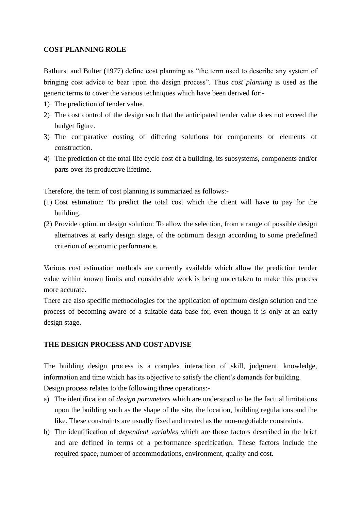# **COST PLANNING ROLE**

Bathurst and Bulter (1977) define cost planning as "the term used to describe any system of bringing cost advice to bear upon the design process". Thus *cost planning* is used as the generic terms to cover the various techniques which have been derived for:-

- 1) The prediction of tender value.
- 2) The cost control of the design such that the anticipated tender value does not exceed the budget figure.
- 3) The comparative costing of differing solutions for components or elements of construction.
- 4) The prediction of the total life cycle cost of a building, its subsystems, components and/or parts over its productive lifetime.

Therefore, the term of cost planning is summarized as follows:-

- (1) Cost estimation: To predict the total cost which the client will have to pay for the building.
- (2) Provide optimum design solution: To allow the selection, from a range of possible design alternatives at early design stage, of the optimum design according to some predefined criterion of economic performance.

Various cost estimation methods are currently available which allow the prediction tender value within known limits and considerable work is being undertaken to make this process more accurate.

There are also specific methodologies for the application of optimum design solution and the process of becoming aware of a suitable data base for, even though it is only at an early design stage.

## **THE DESIGN PROCESS AND COST ADVISE**

The building design process is a complex interaction of skill, judgment, knowledge, information and time which has its objective to satisfy the client's demands for building. Design process relates to the following three operations:-

- a) The identification of *design parameters* which are understood to be the factual limitations upon the building such as the shape of the site, the location, building regulations and the like. These constraints are usually fixed and treated as the non-negotiable constraints.
- b) The identification of *dependent variables* which are those factors described in the brief and are defined in terms of a performance specification. These factors include the required space, number of accommodations, environment, quality and cost.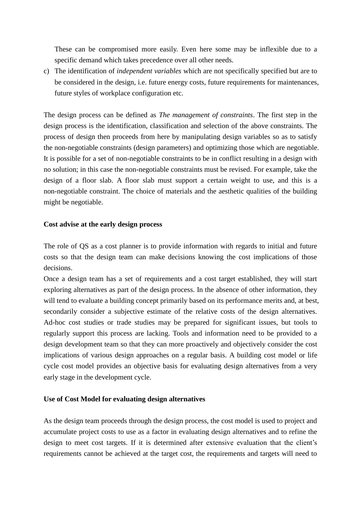These can be compromised more easily. Even here some may be inflexible due to a specific demand which takes precedence over all other needs.

c) The identification of *independent variables* which are not specifically specified but are to be considered in the design, i.e. future energy costs, future requirements for maintenances, future styles of workplace configuration etc.

The design process can be defined as *The management of constraints*. The first step in the design process is the identification, classification and selection of the above constraints. The process of design then proceeds from here by manipulating design variables so as to satisfy the non-negotiable constraints (design parameters) and optimizing those which are negotiable. It is possible for a set of non-negotiable constraints to be in conflict resulting in a design with no solution; in this case the non-negotiable constraints must be revised. For example, take the design of a floor slab. A floor slab must support a certain weight to use, and this is a non-negotiable constraint. The choice of materials and the aesthetic qualities of the building might be negotiable.

# **Cost advise at the early design process**

The role of QS as a cost planner is to provide information with regards to initial and future costs so that the design team can make decisions knowing the cost implications of those decisions.

Once a design team has a set of requirements and a cost target established, they will start exploring alternatives as part of the design process. In the absence of other information, they will tend to evaluate a building concept primarily based on its performance merits and, at best, secondarily consider a subjective estimate of the relative costs of the design alternatives. Ad-hoc cost studies or trade studies may be prepared for significant issues, but tools to regularly support this process are lacking. Tools and information need to be provided to a design development team so that they can more proactively and objectively consider the cost implications of various design approaches on a regular basis. A building cost model or life cycle cost model provides an objective basis for evaluating design alternatives from a very early stage in the development cycle.

## **Use of Cost Model for evaluating design alternatives**

As the design team proceeds through the design process, the cost model is used to project and accumulate project costs to use as a factor in evaluating design alternatives and to refine the design to meet cost targets. If it is determined after extensive evaluation that the client's requirements cannot be achieved at the target cost, the requirements and targets will need to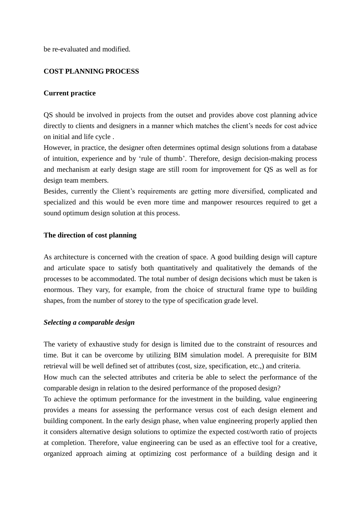be re-evaluated and modified.

# **COST PLANNING PROCESS**

#### **Current practice**

QS should be involved in projects from the outset and provides above cost planning advice directly to clients and designers in a manner which matches the client"s needs for cost advice on initial and life cycle .

However, in practice, the designer often determines optimal design solutions from a database of intuition, experience and by "rule of thumb". Therefore, design decision-making process and mechanism at early design stage are still room for improvement for QS as well as for design team members.

Besides, currently the Client"s requirements are getting more diversified, complicated and specialized and this would be even more time and manpower resources required to get a sound optimum design solution at this process.

#### **The direction of cost planning**

As architecture is concerned with the creation of space. A good building design will capture and articulate space to satisfy both quantitatively and qualitatively the demands of the processes to be accommodated. The total number of design decisions which must be taken is enormous. They vary, for example, from the choice of structural frame type to building shapes, from the number of storey to the type of specification grade level.

#### *Selecting a comparable design*

The variety of exhaustive study for design is limited due to the constraint of resources and time. But it can be overcome by utilizing BIM simulation model. A prerequisite for BIM retrieval will be well defined set of attributes (cost, size, specification, etc.,) and criteria.

How much can the selected attributes and criteria be able to select the performance of the comparable design in relation to the desired performance of the proposed design?

To achieve the optimum performance for the investment in the building, value engineering provides a means for assessing the performance versus cost of each design element and building component. In the early design phase, when value engineering properly applied then it considers alternative design solutions to optimize the expected cost/worth ratio of projects at completion. Therefore, value engineering can be used as an effective tool for a creative, organized approach aiming at optimizing cost performance of a building design and it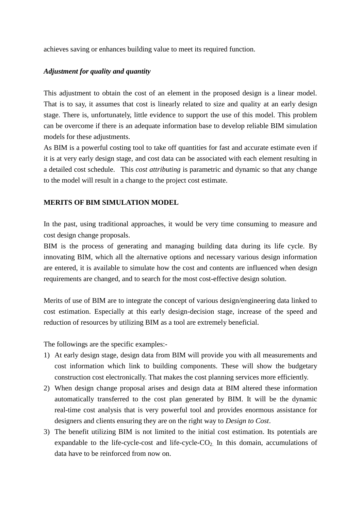achieves saving or enhances building value to meet its required function.

# *Adjustment for quality and quantity*

This adjustment to obtain the cost of an element in the proposed design is a linear model. That is to say, it assumes that cost is linearly related to size and quality at an early design stage. There is, unfortunately, little evidence to support the use of this model. This problem can be overcome if there is an adequate information base to develop reliable BIM simulation models for these adjustments.

As BIM is a powerful costing tool to take off quantities for fast and accurate estimate even if it is at very early design stage, and cost data can be associated with each element resulting in a detailed cost schedule. This *cost attributing* is parametric and dynamic so that any change to the model will result in a change to the project cost estimate.

# **MERITS OF BIM SIMULATION MODEL**

In the past, using traditional approaches, it would be very time consuming to measure and cost design change proposals.

BIM is the process of generating and managing building data during its life cycle. By innovating BIM, which all the alternative options and necessary various design information are entered, it is available to simulate how the cost and contents are influenced when design requirements are changed, and to search for the most cost-effective design solution.

Merits of use of BIM are to integrate the concept of various design/engineering data linked to cost estimation. Especially at this early design-decision stage, increase of the speed and reduction of resources by utilizing BIM as a tool are extremely beneficial.

The followings are the specific examples:-

- 1) At early design stage, design data from BIM will provide you with all measurements and cost information which link to building components. These will show the budgetary construction cost electronically. That makes the cost planning services more efficiently.
- 2) When design change proposal arises and design data at BIM altered these information automatically transferred to the cost plan generated by BIM. It will be the dynamic real-time cost analysis that is very powerful tool and provides enormous assistance for designers and clients ensuring they are on the right way to *Design to Cost*.
- 3) The benefit utilizing BIM is not limited to the initial cost estimation. Its potentials are expandable to the life-cycle-cost and life-cycle- $CO<sub>2</sub>$ . In this domain, accumulations of data have to be reinforced from now on.